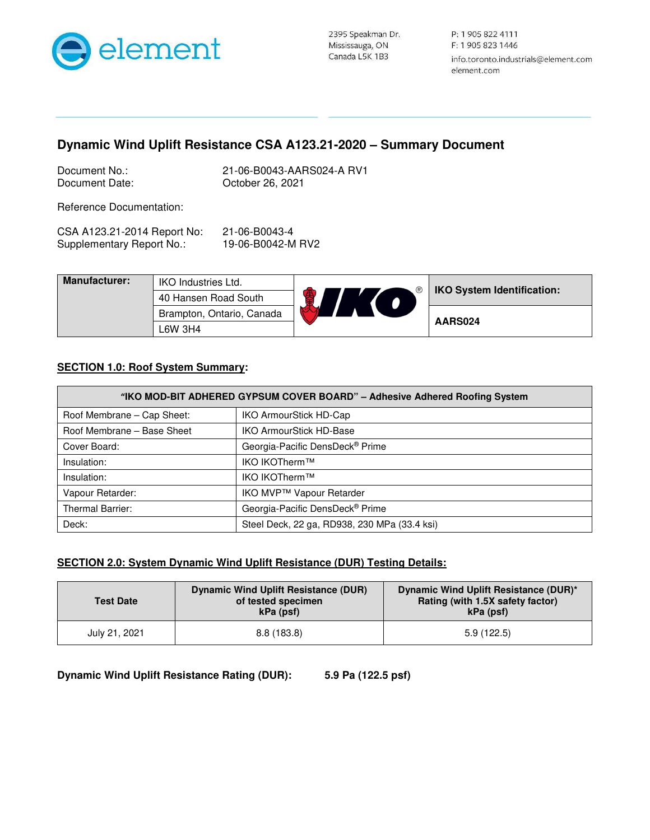

P: 1 905 822 4111 F: 1 905 823 1446 info.toronto.industrials@element.com element.com

# **Dynamic Wind Uplift Resistance CSA A123.21-2020 – Summary Document**

| Document No.:  |  |
|----------------|--|
| Document Date: |  |

21-06-B0043-AARS024-A RV1 October 26, 2021

Reference Documentation:

| CSA A123.21-2014 Report No: | 21-06-B0043-4     |
|-----------------------------|-------------------|
| Supplementary Report No.:   | 19-06-B0042-M RV2 |

| <b>Manufacturer:</b> | <b>IKO Industries Ltd.</b> | . ® | <b>IKO System Identification:</b> |
|----------------------|----------------------------|-----|-----------------------------------|
|                      | 40 Hansen Road South       |     |                                   |
|                      | Brampton, Ontario, Canada  | ХA  | AARS024                           |
|                      | L6W 3H4                    |     |                                   |

### **SECTION 1.0: Roof System Summary:**

| "IKO MOD-BIT ADHERED GYPSUM COVER BOARD" - Adhesive Adhered Roofing System |                                              |  |
|----------------------------------------------------------------------------|----------------------------------------------|--|
| Roof Membrane - Cap Sheet:                                                 | IKO ArmourStick HD-Cap                       |  |
| Roof Membrane - Base Sheet                                                 | <b>IKO ArmourStick HD-Base</b>               |  |
| Cover Board:                                                               | Georgia-Pacific DensDeck® Prime              |  |
| Insulation:                                                                | IKO IKOTherm™                                |  |
| Insulation:                                                                | IKO IKOTherm™                                |  |
| Vapour Retarder:                                                           | IKO MVP™ Vapour Retarder                     |  |
| <b>Thermal Barrier:</b>                                                    | Georgia-Pacific DensDeck® Prime              |  |
| Deck:                                                                      | Steel Deck, 22 ga, RD938, 230 MPa (33.4 ksi) |  |

### **SECTION 2.0: System Dynamic Wind Uplift Resistance (DUR) Testing Details:**

| <b>Test Date</b> | Dynamic Wind Uplift Resistance (DUR)<br>of tested specimen<br>kPa (psf) | Dynamic Wind Uplift Resistance (DUR)*<br>Rating (with 1.5X safety factor)<br>kPa (psf) |
|------------------|-------------------------------------------------------------------------|----------------------------------------------------------------------------------------|
| July 21, 2021    | 8.8(183.8)                                                              | 5.9(122.5)                                                                             |

**Dynamic Wind Uplift Resistance Rating (DUR): 5.9 Pa (122.5 psf)**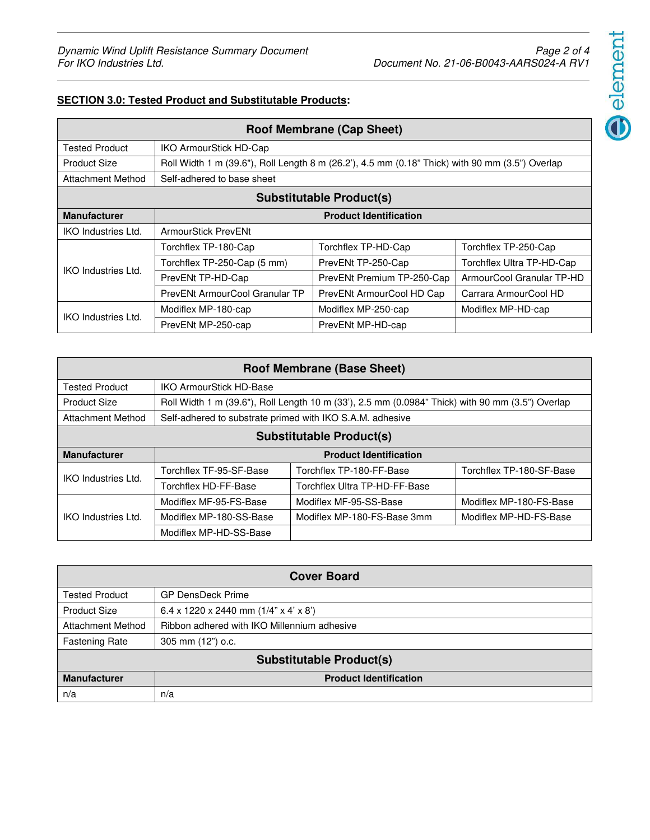# $\bigodot$ element

## **SECTION 3.0: Tested Product and Substitutable Products:**

| <b>Roof Membrane (Cap Sheet)</b> |                                                                                                 |                            |                           |
|----------------------------------|-------------------------------------------------------------------------------------------------|----------------------------|---------------------------|
| <b>Tested Product</b>            | <b>IKO ArmourStick HD-Cap</b>                                                                   |                            |                           |
| <b>Product Size</b>              | Roll Width 1 m (39.6"), Roll Length 8 m (26.2'), 4.5 mm (0.18" Thick) with 90 mm (3.5") Overlap |                            |                           |
| Attachment Method                | Self-adhered to base sheet                                                                      |                            |                           |
| <b>Substitutable Product(s)</b>  |                                                                                                 |                            |                           |
| <b>Manufacturer</b>              | <b>Product Identification</b>                                                                   |                            |                           |
| <b>IKO</b> Industries Ltd.       | ArmourStick PrevENt                                                                             |                            |                           |
|                                  | Torchflex TP-180-Cap                                                                            | Torchflex TP-HD-Cap        | Torchflex TP-250-Cap      |
| <b>IKO Industries Ltd.</b>       | Torchflex TP-250-Cap (5 mm)                                                                     | PrevENt TP-250-Cap         | Torchflex Ultra TP-HD-Cap |
|                                  | PrevENt TP-HD-Cap                                                                               | PrevENt Premium TP-250-Cap | ArmourCool Granular TP-HD |
|                                  | PrevENt ArmourCool Granular TP                                                                  | PrevENt ArmourCool HD Cap  | Carrara ArmourCool HD     |
| <b>IKO Industries Ltd.</b>       | Modiflex MP-180-cap                                                                             | Modiflex MP-250-cap        | Modiflex MP-HD-cap        |
|                                  | PrevENt MP-250-cap                                                                              | PrevENt MP-HD-cap          |                           |

| <b>Roof Membrane (Base Sheet)</b> |                                                           |                                                                                                  |                          |
|-----------------------------------|-----------------------------------------------------------|--------------------------------------------------------------------------------------------------|--------------------------|
| <b>Tested Product</b>             | <b>IKO ArmourStick HD-Base</b>                            |                                                                                                  |                          |
| <b>Product Size</b>               |                                                           | Roll Width 1 m (39.6"), Roll Length 10 m (33'), 2.5 mm (0.0984" Thick) with 90 mm (3.5") Overlap |                          |
| Attachment Method                 | Self-adhered to substrate primed with IKO S.A.M. adhesive |                                                                                                  |                          |
| <b>Substitutable Product(s)</b>   |                                                           |                                                                                                  |                          |
| <b>Manufacturer</b>               |                                                           | <b>Product Identification</b>                                                                    |                          |
| <b>IKO Industries Ltd.</b>        | Torchflex TF-95-SF-Base                                   | Torchflex TP-180-FF-Base                                                                         | Torchflex TP-180-SF-Base |
|                                   | Torchflex HD-FF-Base                                      | Torchflex Ultra TP-HD-FF-Base                                                                    |                          |
|                                   | Modiflex MF-95-FS-Base                                    | Modiflex MF-95-SS-Base                                                                           | Modiflex MP-180-FS-Base  |
| IKO Industries Ltd.               | Modiflex MP-180-SS-Base                                   | Modiflex MP-180-FS-Base 3mm                                                                      | Modiflex MP-HD-FS-Base   |
|                                   | Modiflex MP-HD-SS-Base                                    |                                                                                                  |                          |

| <b>Cover Board</b>              |                                             |  |
|---------------------------------|---------------------------------------------|--|
| <b>Tested Product</b>           | <b>GP DensDeck Prime</b>                    |  |
| <b>Product Size</b>             | 6.4 x 1220 x 2440 mm $(1/4"$ x 4' x 8')     |  |
| <b>Attachment Method</b>        | Ribbon adhered with IKO Millennium adhesive |  |
| <b>Fastening Rate</b>           | 305 mm (12") o.c.                           |  |
| <b>Substitutable Product(s)</b> |                                             |  |
| <b>Manufacturer</b>             | <b>Product Identification</b>               |  |
| n/a                             | n/a                                         |  |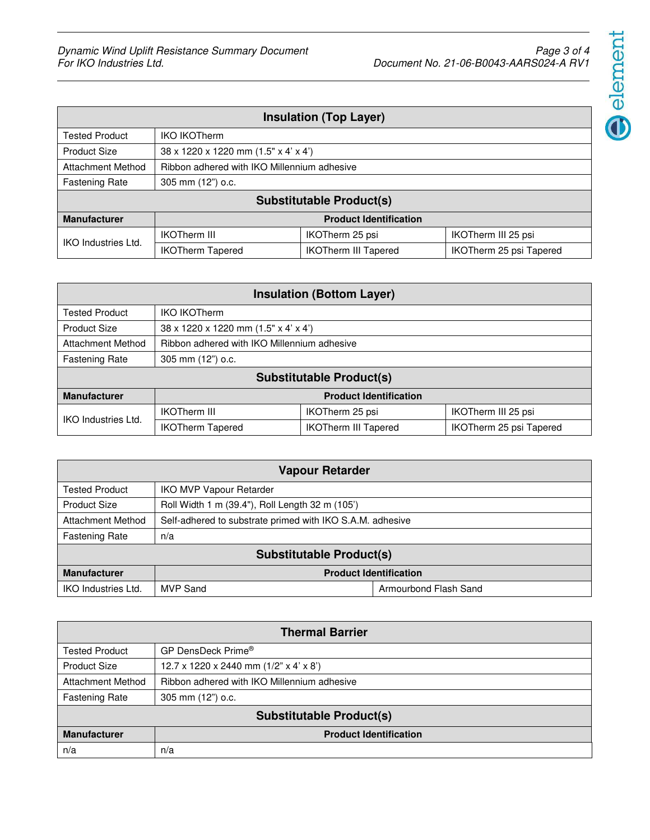$\bigodot$  element

| <b>Insulation (Top Layer)</b>   |                                             |                               |                         |
|---------------------------------|---------------------------------------------|-------------------------------|-------------------------|
| <b>Tested Product</b>           | <b>IKO IKOTherm</b>                         |                               |                         |
| <b>Product Size</b>             | 38 x 1220 x 1220 mm (1.5" x 4' x 4')        |                               |                         |
| <b>Attachment Method</b>        | Ribbon adhered with IKO Millennium adhesive |                               |                         |
| <b>Fastening Rate</b>           | 305 mm (12") o.c.                           |                               |                         |
| <b>Substitutable Product(s)</b> |                                             |                               |                         |
| <b>Manufacturer</b>             |                                             | <b>Product Identification</b> |                         |
|                                 | <b>IKOTherm III</b>                         | IKOTherm 25 psi               | IKOTherm III 25 psi     |
| IKO Industries Ltd.             | <b>IKOTherm Tapered</b>                     | <b>IKOTherm III Tapered</b>   | IKOTherm 25 psi Tapered |

| <b>Insulation (Bottom Layer)</b> |                                                              |                               |                         |
|----------------------------------|--------------------------------------------------------------|-------------------------------|-------------------------|
| <b>Tested Product</b>            | <b>IKO IKOTherm</b>                                          |                               |                         |
| <b>Product Size</b>              | $38 \times 1220 \times 1220$ mm $(1.5" \times 4' \times 4')$ |                               |                         |
| <b>Attachment Method</b>         | Ribbon adhered with IKO Millennium adhesive                  |                               |                         |
| <b>Fastening Rate</b>            | 305 mm (12") o.c.                                            |                               |                         |
| <b>Substitutable Product(s)</b>  |                                                              |                               |                         |
| <b>Manufacturer</b>              |                                                              | <b>Product Identification</b> |                         |
| <b>IKO Industries Ltd.</b>       | <b>IKOTherm III</b>                                          | IKOTherm 25 psi               | IKOTherm III 25 psi     |
|                                  | <b>IKOTherm Tapered</b>                                      | <b>IKOTherm III Tapered</b>   | IKOTherm 25 psi Tapered |

| <b>Vapour Retarder</b>          |                                                           |                       |
|---------------------------------|-----------------------------------------------------------|-----------------------|
| <b>Tested Product</b>           | <b>IKO MVP Vapour Retarder</b>                            |                       |
| <b>Product Size</b>             | Roll Width 1 m (39.4"), Roll Length 32 m (105')           |                       |
| <b>Attachment Method</b>        | Self-adhered to substrate primed with IKO S.A.M. adhesive |                       |
| <b>Fastening Rate</b>           | n/a                                                       |                       |
| <b>Substitutable Product(s)</b> |                                                           |                       |
| <b>Manufacturer</b>             | <b>Product Identification</b>                             |                       |
| <b>IKO Industries Ltd.</b>      | <b>MVP Sand</b>                                           | Armourbond Flash Sand |

| <b>Thermal Barrier</b>          |                                             |  |
|---------------------------------|---------------------------------------------|--|
| <b>Tested Product</b>           | GP DensDeck Prime®                          |  |
| <b>Product Size</b>             | 12.7 x 1220 x 2440 mm $(1/2"$ x 4' x 8')    |  |
| <b>Attachment Method</b>        | Ribbon adhered with IKO Millennium adhesive |  |
| <b>Fastening Rate</b>           | 305 mm (12") o.c.                           |  |
| <b>Substitutable Product(s)</b> |                                             |  |
| <b>Manufacturer</b>             | <b>Product Identification</b>               |  |
| n/a                             | n/a                                         |  |